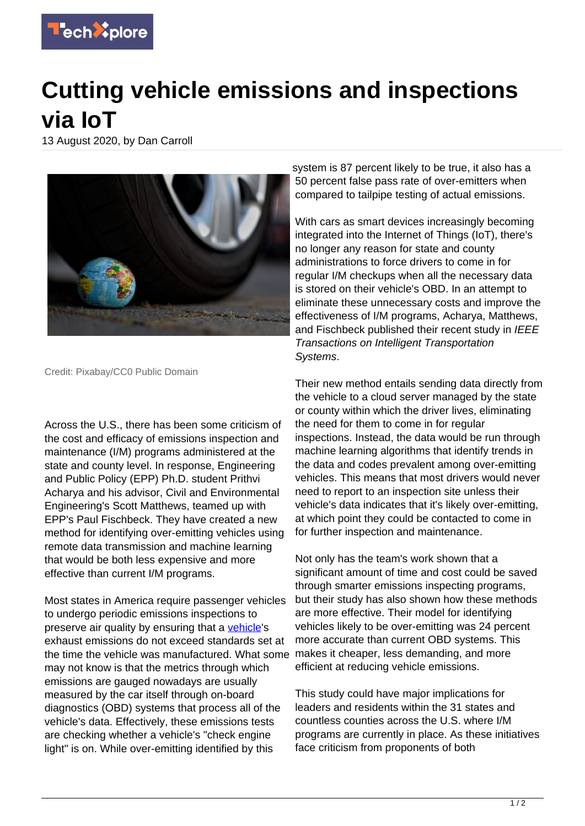

## **Cutting vehicle emissions and inspections via IoT**

13 August 2020, by Dan Carroll



Credit: Pixabay/CC0 Public Domain

Across the U.S., there has been some criticism of the cost and efficacy of emissions inspection and maintenance (I/M) programs administered at the state and county level. In response, Engineering and Public Policy (EPP) Ph.D. student Prithvi Acharya and his advisor, Civil and Environmental Engineering's Scott Matthews, teamed up with EPP's Paul Fischbeck. They have created a new method for identifying over-emitting vehicles using remote data transmission and machine learning that would be both less expensive and more effective than current I/M programs.

Most states in America require passenger vehicles to undergo periodic emissions inspections to preserve air quality by ensuring that a [vehicle](https://techxplore.com/tags/vehicle/)'s exhaust emissions do not exceed standards set at the time the vehicle was manufactured. What some may not know is that the metrics through which emissions are gauged nowadays are usually measured by the car itself through on-board diagnostics (OBD) systems that process all of the vehicle's data. Effectively, these emissions tests are checking whether a vehicle's "check engine light" is on. While over-emitting identified by this

system is 87 percent likely to be true, it also has a 50 percent false pass rate of over-emitters when compared to tailpipe testing of actual emissions.

With cars as smart devices increasingly becoming integrated into the Internet of Things (IoT), there's no longer any reason for state and county administrations to force drivers to come in for regular I/M checkups when all the necessary data is stored on their vehicle's OBD. In an attempt to eliminate these unnecessary costs and improve the effectiveness of I/M programs, Acharya, Matthews, and Fischbeck published their recent study in IEEE Transactions on Intelligent Transportation Systems.

Their new method entails sending data directly from the vehicle to a cloud server managed by the state or county within which the driver lives, eliminating the need for them to come in for regular inspections. Instead, the data would be run through machine learning algorithms that identify trends in the data and codes prevalent among over-emitting vehicles. This means that most drivers would never need to report to an inspection site unless their vehicle's data indicates that it's likely over-emitting, at which point they could be contacted to come in for further inspection and maintenance.

Not only has the team's work shown that a significant amount of time and cost could be saved through smarter emissions inspecting programs, but their study has also shown how these methods are more effective. Their model for identifying vehicles likely to be over-emitting was 24 percent more accurate than current OBD systems. This makes it cheaper, less demanding, and more efficient at reducing vehicle emissions.

This study could have major implications for leaders and residents within the 31 states and countless counties across the U.S. where I/M programs are currently in place. As these initiatives face criticism from proponents of both